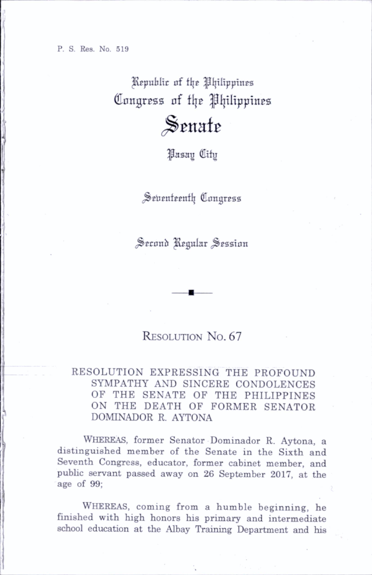Republic of the Philippines Congress of the Philippines Senate

^Pasay Ctfy

Seventeenth Congress

Second Regular Session

## RESOLUTION No. 67

## RESOLUTION EXPRESSING THE PROFOUND SYMPATHY AND SINCERE CONDOLENCES OF THE SENATE OF THE PHILIPPINES ON THE DEATH OF FORMER SENATOR DOMINADOR R. AYTONA

WHEREAS, former Senator Dominador R. Aytona, a distinguished member of the Senate in the Sixth and Seventh Congress, educator, former cabinet member, and public servant passed away on 26 September 2017, at the age of 99;

WHEREAS, coming from a humble beginning, he finished with high honors his primary and intermediate school education at the Albay Training Department and his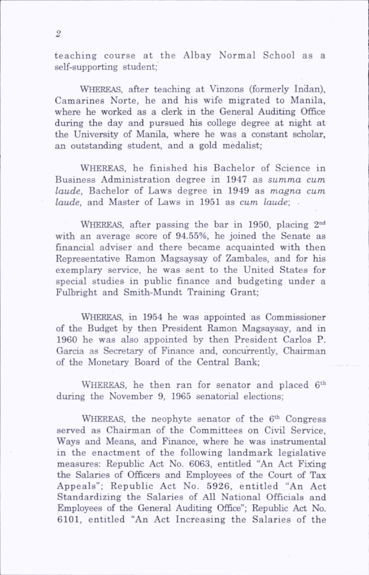teaching course at the Albay Normal School as a self-supporting student;

WHEREAS, after teaching at Vinzons (formerly Indan). Camarines Norte, he and his wife migrated to Manila, where he worked as a clerk in the General Auditing Office during the day and pursued his college degree at night at the University of Manila, where he was a constant scholar, an outstanding student, and a gold medahst;

Whereas, he finished his Bachelor of Science in Business Administration degree in 1947 as summa cum laude, Bachelor of Laws degree in 1949 as magna cum laude, and Master of Laws in 1951 as cum laude;

WHEREAS, after passing the bar in 1950, placing 2<sup>nd</sup> with an average score of 94.55%, he joined the Senate as financial adviser and there became acquainted with then Representative Ramon Magsaysay of Zambales, and for his exemplary service, he was sent to the United States for special studies in public finance and budgeting under a Fulbright and Smith-Mundt Training Grant;

Whereas, in 1954 he was appointed as Commissioner of the Budget by then President Ramon Magsaysay, and in 1960 he was also appointed by then President Carlos P. Garcia as Secretary of Finance and, concurrently. Chairman of the Monetary Board of the Central Bank;

WHEREAS, he then ran for senator and placed 6<sup>th</sup> during the November 9, 1965 senatorial elections;

WHEREAS, the neophyte senator of the  $6<sup>th</sup>$  Congress served as Chairman of the Committees on Civil Service, Ways and Means, and Finance, where he was instrumental in the enactment of the following landmark legislative measures: Republic Act No. 6063, entitled "An Act Fixing the Salaries of Officers and Employees of the Court of Tax Appeals"; Republic Act No. 5926, entitled "An Act Standardizing the Salaries of All National Officials and Employees of the General Auditing Office"; Republic Act No. 6101, entitled "An Act Increasing the Salaries of the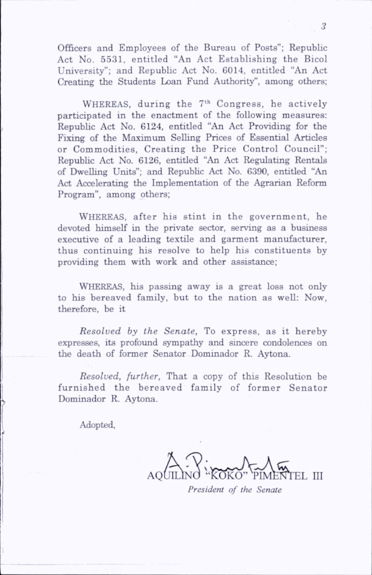Officers and Employees of the Bureau of Posts"; Republic Act No. 5531, entitled "An Act Establishing the Bicol University"; and Republic Act No. 6014, entitled "An Act Creating the Students Loan Fund Authority", among others;

WHEREAS, during the  $7<sup>th</sup>$  Congress, he actively participated in the enactment of the following measures; Republic Act No. 6124, entitled "An Act Providing for the Fixing of the Maximum Selling Prices of Essential Articles or Commodities, Creating the Price Control Council"; Republic Act No. 6126, entitled "An Act Regulating Rentals of Dwelling Units"; and Repubhc Act No. 6390, entitled "An Act Accelerating the Implementation of the Agrarian Reform Program", among others;

WHEREAS, after his stint in the government, he devoted himself in the private sector, serving as a business executive of a leading textile and garment manufacturer, thus continuing his resolve to help his constituents by providing them with work and other assistance;

WHEREAS, his passing away is a great loss not only to his bereaved family, but to the nation as well: Now, therefore, be it

Resolved by the Senate, To express, as it hereby expresses, its profound sympathy and sincere condolences on the death of former Senator Dominador R. Aytona.

Resolved, further. That a copy of this Resolution be furnished the bereaved family of former Senator Dominador R. Aytona.

Adopted,

AQUILINO "KOKO" 'PIMI EL III

President of the Senate